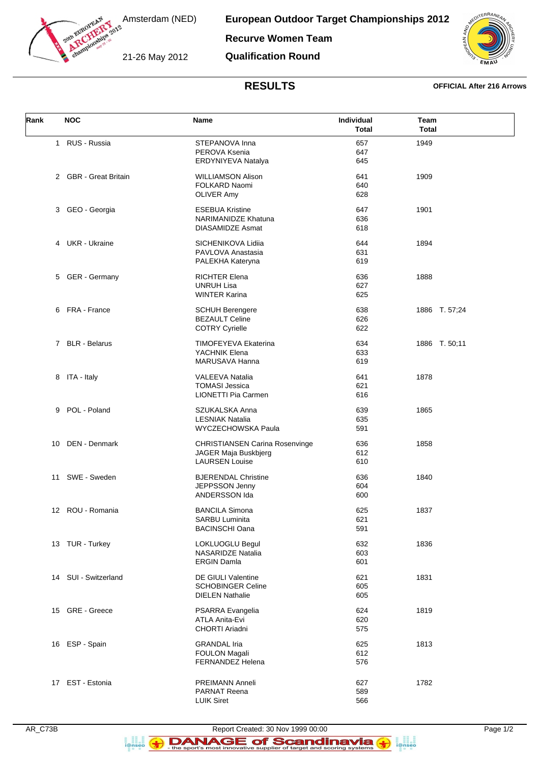

European Outdoor Target Championships 2012

**Recurve Women Team** 

**Qualification Round** 



## **RESULTS**

## **OFFICIAL After 216 Arrows**

| Rank | <b>NOC</b>            | Name                                                                                   | Individual<br>Total | Team<br><b>Total</b> |
|------|-----------------------|----------------------------------------------------------------------------------------|---------------------|----------------------|
|      | 1 RUS - Russia        | STEPANOVA Inna<br>PEROVA Ksenia<br>ERDYNIYEVA Natalya                                  | 657<br>647<br>645   | 1949                 |
|      | 2 GBR - Great Britain | <b>WILLIAMSON Alison</b><br>FOLKARD Naomi<br><b>OLIVER Amy</b>                         | 641<br>640<br>628   | 1909                 |
|      | 3 GEO - Georgia       | <b>ESEBUA Kristine</b><br><b>NARIMANIDZE Khatuna</b><br><b>DIASAMIDZE Asmat</b>        | 647<br>636<br>618   | 1901                 |
|      | 4 UKR - Ukraine       | SICHENIKOVA Lidiia<br>PAVLOVA Anastasia<br>PALEKHA Kateryna                            | 644<br>631<br>619   | 1894                 |
| 5    | <b>GER</b> - Germany  | <b>RICHTER Elena</b><br><b>UNRUH Lisa</b><br><b>WINTER Karina</b>                      | 636<br>627<br>625   | 1888                 |
|      | 6 FRA - France        | <b>SCHUH Berengere</b><br><b>BEZAULT Celine</b><br><b>COTRY Cyrielle</b>               | 638<br>626<br>622   | 1886 T. 57;24        |
|      | 7 BLR - Belarus       | <b>TIMOFEYEVA Ekaterina</b><br>YACHNIK Elena<br>MARUSAVA Hanna                         | 634<br>633<br>619   | 1886 T. 50;11        |
|      | 8 ITA - Italy         | VALEEVA Natalia<br><b>TOMASI Jessica</b><br>LIONETTI Pia Carmen                        | 641<br>621<br>616   | 1878                 |
|      | 9 POL - Poland        | SZUKALSKA Anna<br><b>LESNIAK Natalia</b><br>WYCZECHOWSKA Paula                         | 639<br>635<br>591   | 1865                 |
| 10   | DEN - Denmark         | <b>CHRISTIANSEN Carina Rosenvinge</b><br>JAGER Maja Buskbjerg<br><b>LAURSEN Louise</b> | 636<br>612<br>610   | 1858                 |
|      | 11 SWE - Sweden       | <b>BJERENDAL Christine</b><br>JEPPSSON Jenny<br>ANDERSSON Ida                          | 636<br>604<br>600   | 1840                 |
|      | 12 ROU - Romania      | <b>BANCILA Simona</b><br>SARBU Luminita<br><b>BACINSCHI Oana</b>                       | 625<br>621<br>591   | 1837                 |
|      | 13 TUR - Turkey       | LOKLUOGLU Begul<br>NASARIDZE Natalia<br><b>ERGIN Damla</b>                             | 632<br>603<br>601   | 1836                 |
|      | 14 SUI - Switzerland  | <b>DE GIULI Valentine</b><br><b>SCHOBINGER Celine</b><br><b>DIELEN Nathalie</b>        | 621<br>605<br>605   | 1831                 |
|      | 15 GRE - Greece       | PSARRA Evangelia<br>ATLA Anita-Evi<br>CHORTI Ariadni                                   | 624<br>620<br>575   | 1819                 |
|      | 16 ESP - Spain        | <b>GRANDAL Iria</b><br><b>FOULON Magali</b><br><b>FERNANDEZ Helena</b>                 | 625<br>612<br>576   | 1813                 |
|      | 17 EST - Estonia      | <b>PREIMANN Anneli</b><br><b>PARNAT Reena</b><br><b>LUIK Siret</b>                     | 627<br>589<br>566   | 1782                 |



a an<br>i@nseo

 $\leftrightarrow$